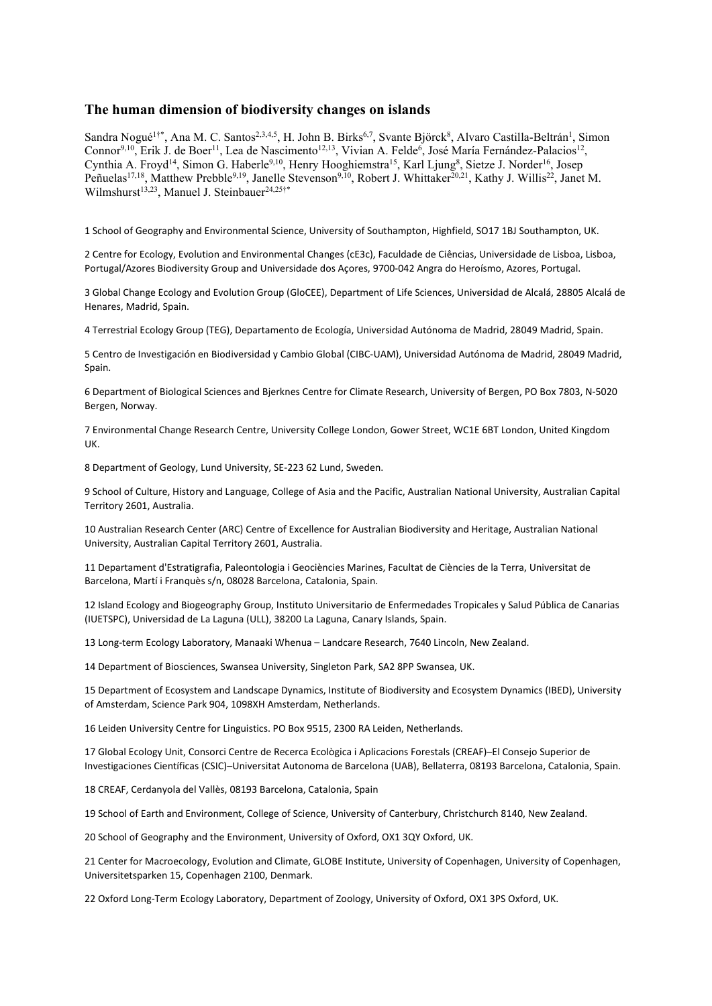## **The human dimension of biodiversity changes on islands**

Sandra Nogué<sup>1†\*</sup>, Ana M. C. Santos<sup>2,3,4,5</sup>, H. John B. Birks<sup>6,7</sup>, Svante Björck<sup>8</sup>, Alvaro Castilla-Beltrán<sup>1</sup>, Simon Connor<sup>9,10</sup>, Erik J. de Boer<sup>11</sup>, Lea de Nascimento<sup>12,13</sup>, Vivian A. Felde<sup>6</sup>, José María Fernández-Palacios<sup>12</sup>, Cynthia A. Froyd<sup>14</sup>, Simon G. Haberle<sup>9,10</sup>, Henry Hooghiemstra<sup>15</sup>, Karl Ljung<sup>8</sup>, Sietze J. Norder<sup>16</sup>, Josep Peñuelas<sup>17,18</sup>, Matthew Prebble<sup>9,19</sup>, Janelle Stevenson<sup>9,10</sup>, Robert J. Whittaker<sup>20,21</sup>, Kathy J. Willis<sup>22</sup>, Janet M. Wilmshurst<sup>13,23</sup>, Manuel J. Steinbauer<sup>24,25†\*</sup>

1 School of Geography and Environmental Science, University of Southampton, Highfield, SO17 1BJ Southampton, UK.

2 Centre for Ecology, Evolution and Environmental Changes (cE3c), Faculdade de Ciências, Universidade de Lisboa, Lisboa, Portugal/Azores Biodiversity Group and Universidade dos Açores, 9700-042 Angra do Heroísmo, Azores, Portugal.

3 Global Change Ecology and Evolution Group (GloCEE), Department of Life Sciences, Universidad de Alcalá, 28805 Alcalá de Henares, Madrid, Spain.

4 Terrestrial Ecology Group (TEG), Departamento de Ecología, Universidad Autónoma de Madrid, 28049 Madrid, Spain.

5 Centro de Investigación en Biodiversidad y Cambio Global (CIBC-UAM), Universidad Autónoma de Madrid, 28049 Madrid, Spain.

6 Department of Biological Sciences and Bjerknes Centre for Climate Research, University of Bergen, PO Box 7803, N-5020 Bergen, Norway.

7 Environmental Change Research Centre, University College London, Gower Street, WC1E 6BT London, United Kingdom UK.

8 Department of Geology, Lund University, SE-223 62 Lund, Sweden.

9 School of Culture, History and Language, College of Asia and the Pacific, Australian National University, Australian Capital Territory 2601, Australia.

10 Australian Research Center (ARC) Centre of Excellence for Australian Biodiversity and Heritage, Australian National University, Australian Capital Territory 2601, Australia.

11 Departament d'Estratigrafia, Paleontologia i Geociències Marines, Facultat de Ciències de la Terra, Universitat de Barcelona, Martí i Franquès s/n, 08028 Barcelona, Catalonia, Spain.

12 Island Ecology and Biogeography Group, Instituto Universitario de Enfermedades Tropicales y Salud Pública de Canarias (IUETSPC), Universidad de La Laguna (ULL), 38200 La Laguna, Canary Islands, Spain.

13 Long-term Ecology Laboratory, Manaaki Whenua – Landcare Research, 7640 Lincoln, New Zealand.

14 Department of Biosciences, Swansea University, Singleton Park, SA2 8PP Swansea, UK.

15 Department of Ecosystem and Landscape Dynamics, Institute of Biodiversity and Ecosystem Dynamics (IBED), University of Amsterdam, Science Park 904, 1098XH Amsterdam, Netherlands.

16 Leiden University Centre for Linguistics. PO Box 9515, 2300 RA Leiden, Netherlands.

17 Global Ecology Unit, Consorci Centre de Recerca Ecològica i Aplicacions Forestals (CREAF)–El Consejo Superior de Investigaciones Científicas (CSIC)–Universitat Autonoma de Barcelona (UAB), Bellaterra, 08193 Barcelona, Catalonia, Spain.

18 CREAF, Cerdanyola del Vallès, 08193 Barcelona, Catalonia, Spain

19 School of Earth and Environment, College of Science, University of Canterbury, Christchurch 8140, New Zealand.

20 School of Geography and the Environment, University of Oxford, OX1 3QY Oxford, UK.

21 Center for Macroecology, Evolution and Climate, GLOBE Institute, University of Copenhagen, University of Copenhagen, Universitetsparken 15, Copenhagen 2100, Denmark.

22 Oxford Long-Term Ecology Laboratory, Department of Zoology, University of Oxford, OX1 3PS Oxford, UK.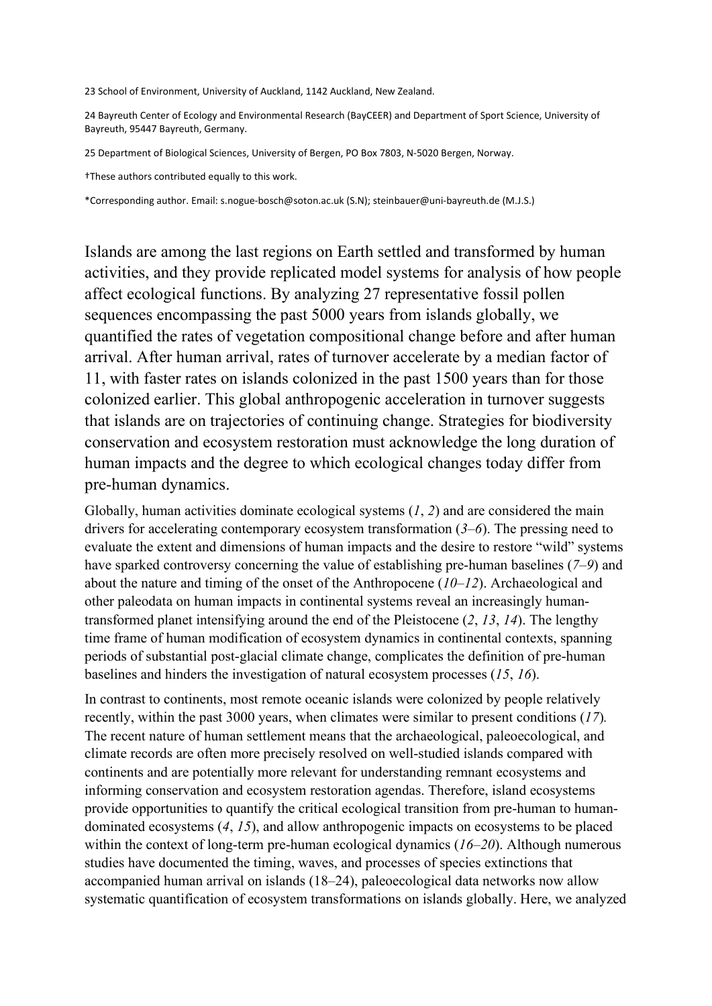23 School of Environment, University of Auckland, 1142 Auckland, New Zealand.

24 Bayreuth Center of Ecology and Environmental Research (BayCEER) and Department of Sport Science, University of Bayreuth, 95447 Bayreuth, Germany.

25 Department of Biological Sciences, University of Bergen, PO Box 7803, N-5020 Bergen, Norway.

†These authors contributed equally to this work.

\*Corresponding author. Email: s.nogue-bosch@soton.ac.uk (S.N); steinbauer@uni-bayreuth.de (M.J.S.)

Islands are among the last regions on Earth settled and transformed by human activities, and they provide replicated model systems for analysis of how people affect ecological functions. By analyzing 27 representative fossil pollen sequences encompassing the past 5000 years from islands globally, we quantified the rates of vegetation compositional change before and after human arrival. After human arrival, rates of turnover accelerate by a median factor of 11, with faster rates on islands colonized in the past 1500 years than for those colonized earlier. This global anthropogenic acceleration in turnover suggests that islands are on trajectories of continuing change. Strategies for biodiversity conservation and ecosystem restoration must acknowledge the long duration of human impacts and the degree to which ecological changes today differ from pre-human dynamics.

Globally, human activities dominate ecological systems (*1*, *2*) and are considered the main drivers for accelerating contemporary ecosystem transformation (*3*–*6*). The pressing need to evaluate the extent and dimensions of human impacts and the desire to restore "wild" systems have sparked controversy concerning the value of establishing pre-human baselines (*7*–*9*) and about the nature and timing of the onset of the Anthropocene (*10*–*12*). Archaeological and other paleodata on human impacts in continental systems reveal an increasingly humantransformed planet intensifying around the end of the Pleistocene (*2*, *13*, *14*). The lengthy time frame of human modification of ecosystem dynamics in continental contexts, spanning periods of substantial post-glacial climate change, complicates the definition of pre-human baselines and hinders the investigation of natural ecosystem processes (*15*, *16*).

In contrast to continents, most remote oceanic islands were colonized by people relatively recently, within the past 3000 years, when climates were similar to present conditions (*17*)*.*  The recent nature of human settlement means that the archaeological, paleoecological, and climate records are often more precisely resolved on well-studied islands compared with continents and are potentially more relevant for understanding remnant ecosystems and informing conservation and ecosystem restoration agendas. Therefore, island ecosystems provide opportunities to quantify the critical ecological transition from pre-human to humandominated ecosystems (*4*, *15*), and allow anthropogenic impacts on ecosystems to be placed within the context of long-term pre-human ecological dynamics (*16*–*20*). Although numerous studies have documented the timing, waves, and processes of species extinctions that accompanied human arrival on islands (18–24), paleoecological data networks now allow systematic quantification of ecosystem transformations on islands globally. Here, we analyzed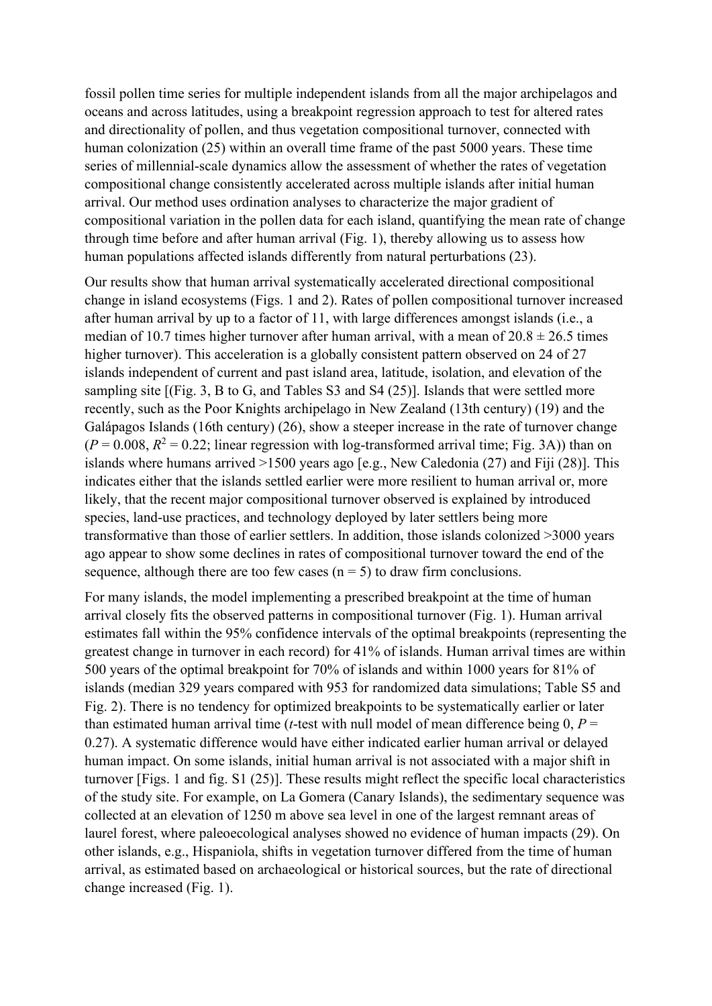fossil pollen time series for multiple independent islands from all the major archipelagos and oceans and across latitudes, using a breakpoint regression approach to test for altered rates and directionality of pollen, and thus vegetation compositional turnover, connected with human colonization (25) within an overall time frame of the past 5000 years. These time series of millennial-scale dynamics allow the assessment of whether the rates of vegetation compositional change consistently accelerated across multiple islands after initial human arrival. Our method uses ordination analyses to characterize the major gradient of compositional variation in the pollen data for each island, quantifying the mean rate of change through time before and after human arrival (Fig. 1), thereby allowing us to assess how human populations affected islands differently from natural perturbations (23).

Our results show that human arrival systematically accelerated directional compositional change in island ecosystems (Figs. 1 and 2). Rates of pollen compositional turnover increased after human arrival by up to a factor of 11, with large differences amongst islands (i.e., a median of 10.7 times higher turnover after human arrival, with a mean of  $20.8 \pm 26.5$  times higher turnover). This acceleration is a globally consistent pattern observed on 24 of 27 islands independent of current and past island area, latitude, isolation, and elevation of the sampling site [(Fig. 3, B to G, and Tables S3 and S4 (25)]. Islands that were settled more recently, such as the Poor Knights archipelago in New Zealand (13th century) (19) and the Galápagos Islands (16th century) (26), show a steeper increase in the rate of turnover change  $(P = 0.008, R^2 = 0.22$ ; linear regression with log-transformed arrival time; Fig. 3A)) than on islands where humans arrived >1500 years ago [e.g., New Caledonia (27) and Fiji (28)]. This indicates either that the islands settled earlier were more resilient to human arrival or, more likely, that the recent major compositional turnover observed is explained by introduced species, land-use practices, and technology deployed by later settlers being more transformative than those of earlier settlers. In addition, those islands colonized >3000 years ago appear to show some declines in rates of compositional turnover toward the end of the sequence, although there are too few cases  $(n = 5)$  to draw firm conclusions.

For many islands, the model implementing a prescribed breakpoint at the time of human arrival closely fits the observed patterns in compositional turnover (Fig. 1). Human arrival estimates fall within the 95% confidence intervals of the optimal breakpoints (representing the greatest change in turnover in each record) for 41% of islands. Human arrival times are within 500 years of the optimal breakpoint for 70% of islands and within 1000 years for 81% of islands (median 329 years compared with 953 for randomized data simulations; Table S5 and Fig. 2). There is no tendency for optimized breakpoints to be systematically earlier or later than estimated human arrival time (*t*-test with null model of mean difference being  $0, P =$ 0.27). A systematic difference would have either indicated earlier human arrival or delayed human impact. On some islands, initial human arrival is not associated with a major shift in turnover [Figs. 1 and fig. S1 (25)]. These results might reflect the specific local characteristics of the study site. For example, on La Gomera (Canary Islands), the sedimentary sequence was collected at an elevation of 1250 m above sea level in one of the largest remnant areas of laurel forest, where paleoecological analyses showed no evidence of human impacts (29). On other islands, e.g., Hispaniola, shifts in vegetation turnover differed from the time of human arrival, as estimated based on archaeological or historical sources, but the rate of directional change increased (Fig. 1).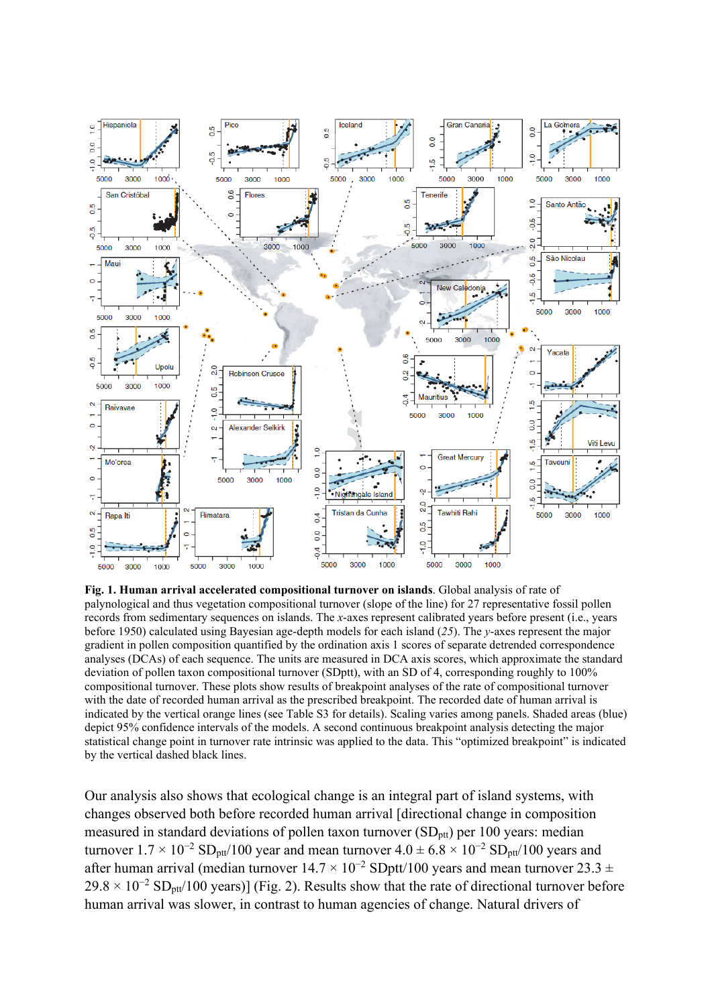

**Fig. 1. Human arrival accelerated compositional turnover on islands**. Global analysis of rate of palynological and thus vegetation compositional turnover (slope of the line) for 27 representative fossil pollen records from sedimentary sequences on islands. The *x*-axes represent calibrated years before present (i.e., years before 1950) calculated using Bayesian age-depth models for each island (*25*). The *y*-axes represent the major gradient in pollen composition quantified by the ordination axis 1 scores of separate detrended correspondence analyses (DCAs) of each sequence. The units are measured in DCA axis scores, which approximate the standard deviation of pollen taxon compositional turnover (SDptt), with an SD of 4, corresponding roughly to 100% compositional turnover. These plots show results of breakpoint analyses of the rate of compositional turnover with the date of recorded human arrival as the prescribed breakpoint. The recorded date of human arrival is indicated by the vertical orange lines (see Table S3 for details). Scaling varies among panels. Shaded areas (blue) depict 95% confidence intervals of the models. A second continuous breakpoint analysis detecting the major statistical change point in turnover rate intrinsic was applied to the data. This "optimized breakpoint" is indicated by the vertical dashed black lines.

Our analysis also shows that ecological change is an integral part of island systems, with changes observed both before recorded human arrival [directional change in composition measured in standard deviations of pollen taxon turnover  $(SD<sub>pt</sub>)$  per 100 years: median turnover  $1.7 \times 10^{-2}$  SD<sub>ptt</sub>/100 year and mean turnover  $4.0 \pm 6.8 \times 10^{-2}$  SD<sub>ptt</sub>/100 years and after human arrival (median turnover  $14.7 \times 10^{-2}$  SDptt/100 years and mean turnover 23.3 ±  $29.8 \times 10^{-2}$  SD<sub>ptt</sub>/100 years)] (Fig. 2). Results show that the rate of directional turnover before human arrival was slower, in contrast to human agencies of change. Natural drivers of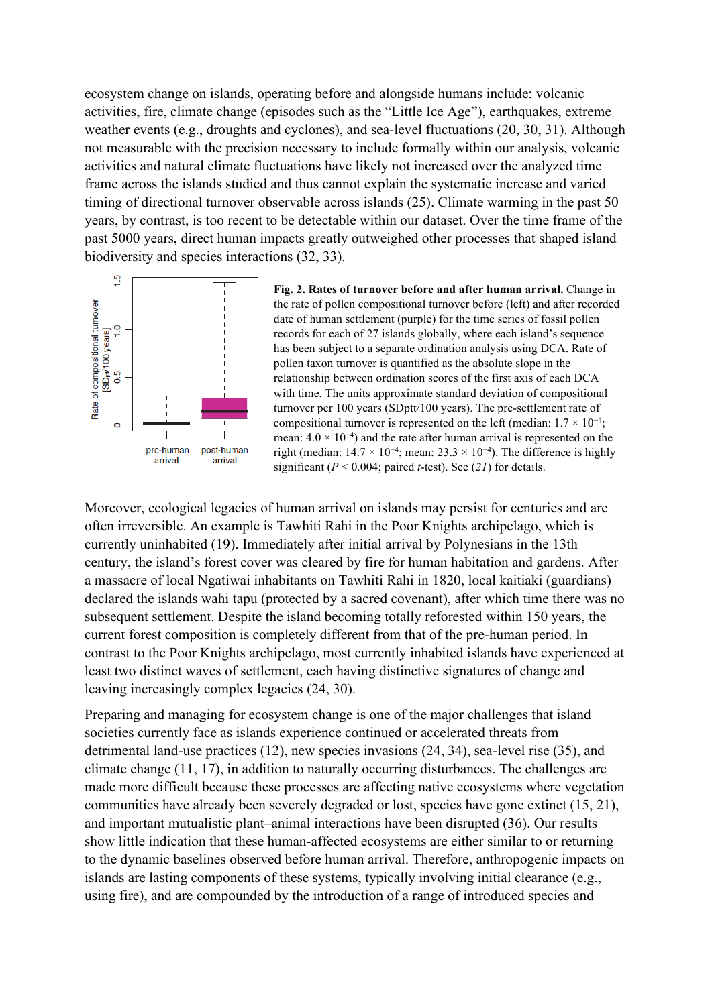ecosystem change on islands, operating before and alongside humans include: volcanic activities, fire, climate change (episodes such as the "Little Ice Age"), earthquakes, extreme weather events (e.g., droughts and cyclones), and sea-level fluctuations (20, 30, 31). Although not measurable with the precision necessary to include formally within our analysis, volcanic activities and natural climate fluctuations have likely not increased over the analyzed time frame across the islands studied and thus cannot explain the systematic increase and varied timing of directional turnover observable across islands (25). Climate warming in the past 50 years, by contrast, is too recent to be detectable within our dataset. Over the time frame of the past 5000 years, direct human impacts greatly outweighed other processes that shaped island biodiversity and species interactions (32, 33).



**Fig. 2. Rates of turnover before and after human arrival.** Change in the rate of pollen compositional turnover before (left) and after recorded date of human settlement (purple) for the time series of fossil pollen records for each of 27 islands globally, where each island's sequence has been subject to a separate ordination analysis using DCA. Rate of pollen taxon turnover is quantified as the absolute slope in the relationship between ordination scores of the first axis of each DCA with time. The units approximate standard deviation of compositional turnover per 100 years (SDptt/100 years). The pre-settlement rate of compositional turnover is represented on the left (median:  $1.7 \times 10^{-4}$ ; mean:  $4.0 \times 10^{-4}$ ) and the rate after human arrival is represented on the right (median:  $14.7 \times 10^{-4}$ ; mean:  $23.3 \times 10^{-4}$ ). The difference is highly significant  $(P < 0.004$ ; paired *t*-test). See (21) for details.

Moreover, ecological legacies of human arrival on islands may persist for centuries and are often irreversible. An example is Tawhiti Rahi in the Poor Knights archipelago, which is currently uninhabited (19). Immediately after initial arrival by Polynesians in the 13th century, the island's forest cover was cleared by fire for human habitation and gardens. After a massacre of local Ngatiwai inhabitants on Tawhiti Rahi in 1820, local kaitiaki (guardians) declared the islands wahi tapu (protected by a sacred covenant), after which time there was no subsequent settlement. Despite the island becoming totally reforested within 150 years, the current forest composition is completely different from that of the pre-human period. In contrast to the Poor Knights archipelago, most currently inhabited islands have experienced at least two distinct waves of settlement, each having distinctive signatures of change and leaving increasingly complex legacies (24, 30).

Preparing and managing for ecosystem change is one of the major challenges that island societies currently face as islands experience continued or accelerated threats from detrimental land-use practices (12), new species invasions (24, 34), sea-level rise (35), and climate change (11, 17), in addition to naturally occurring disturbances. The challenges are made more difficult because these processes are affecting native ecosystems where vegetation communities have already been severely degraded or lost, species have gone extinct (15, 21), and important mutualistic plant–animal interactions have been disrupted (36). Our results show little indication that these human-affected ecosystems are either similar to or returning to the dynamic baselines observed before human arrival. Therefore, anthropogenic impacts on islands are lasting components of these systems, typically involving initial clearance (e.g., using fire), and are compounded by the introduction of a range of introduced species and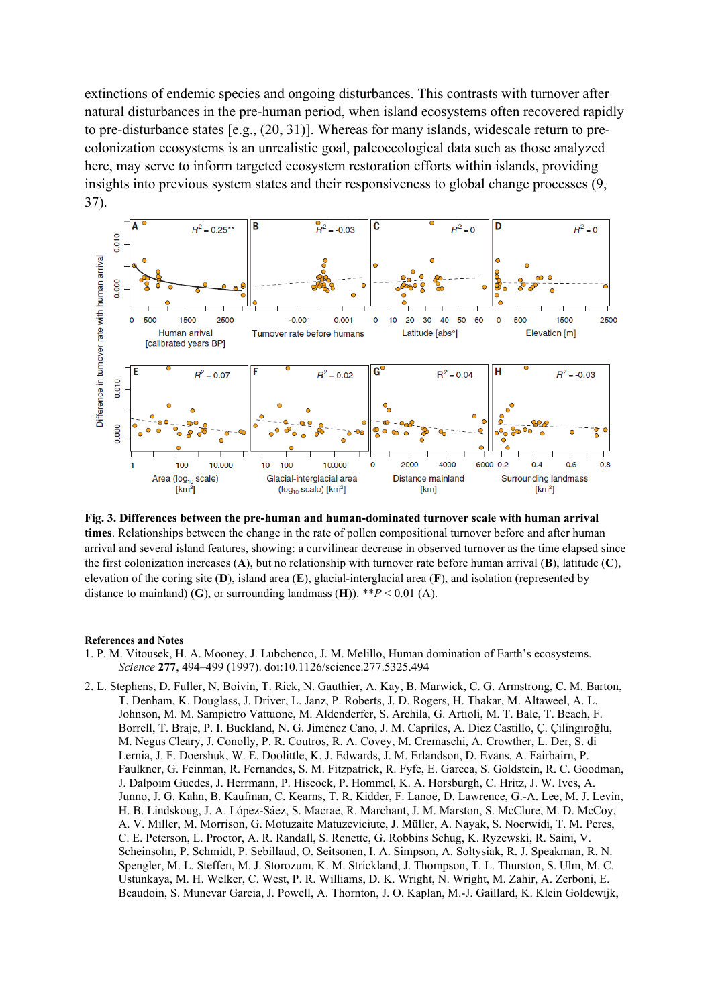extinctions of endemic species and ongoing disturbances. This contrasts with turnover after natural disturbances in the pre-human period, when island ecosystems often recovered rapidly to pre-disturbance states [e.g., (20, 31)]. Whereas for many islands, widescale return to precolonization ecosystems is an unrealistic goal, paleoecological data such as those analyzed here, may serve to inform targeted ecosystem restoration efforts within islands, providing insights into previous system states and their responsiveness to global change processes (9, 37).



**Fig. 3. Differences between the pre-human and human-dominated turnover scale with human arrival times**. Relationships between the change in the rate of pollen compositional turnover before and after human arrival and several island features, showing: a curvilinear decrease in observed turnover as the time elapsed since the first colonization increases (**A**), but no relationship with turnover rate before human arrival (**B**), latitude (**C**), elevation of the coring site (**D**), island area (**E**), glacial-interglacial area (**F**), and isolation (represented by distance to mainland) (G), or surrounding landmass (H)).  $*P < 0.01$  (A).

## **References and Notes**

- 1. P. M. Vitousek, H. A. Mooney, J. Lubchenco, J. M. Melillo, Human domination of Earth's ecosystems. *Science* **277**, 494–499 (1997). doi:10.1126/science.277.5325.494
- 2. L. Stephens, D. Fuller, N. Boivin, T. Rick, N. Gauthier, A. Kay, B. Marwick, C. G. Armstrong, C. M. Barton, T. Denham, K. Douglass, J. Driver, L. Janz, P. Roberts, J. D. Rogers, H. Thakar, M. Altaweel, A. L. Johnson, M. M. Sampietro Vattuone, M. Aldenderfer, S. Archila, G. Artioli, M. T. Bale, T. Beach, F. Borrell, T. Braje, P. I. Buckland, N. G. Jiménez Cano, J. M. Capriles, A. Diez Castillo, Ç. Çilingiroğlu, M. Negus Cleary, J. Conolly, P. R. Coutros, R. A. Covey, M. Cremaschi, A. Crowther, L. Der, S. di Lernia, J. F. Doershuk, W. E. Doolittle, K. J. Edwards, J. M. Erlandson, D. Evans, A. Fairbairn, P. Faulkner, G. Feinman, R. Fernandes, S. M. Fitzpatrick, R. Fyfe, E. Garcea, S. Goldstein, R. C. Goodman, J. Dalpoim Guedes, J. Herrmann, P. Hiscock, P. Hommel, K. A. Horsburgh, C. Hritz, J. W. Ives, A. Junno, J. G. Kahn, B. Kaufman, C. Kearns, T. R. Kidder, F. Lanoë, D. Lawrence, G.-A. Lee, M. J. Levin, H. B. Lindskoug, J. A. López-Sáez, S. Macrae, R. Marchant, J. M. Marston, S. McClure, M. D. McCoy, A. V. Miller, M. Morrison, G. Motuzaite Matuzeviciute, J. Müller, A. Nayak, S. Noerwidi, T. M. Peres, C. E. Peterson, L. Proctor, A. R. Randall, S. Renette, G. Robbins Schug, K. Ryzewski, R. Saini, V. Scheinsohn, P. Schmidt, P. Sebillaud, O. Seitsonen, I. A. Simpson, A. Sołtysiak, R. J. Speakman, R. N. Spengler, M. L. Steffen, M. J. Storozum, K. M. Strickland, J. Thompson, T. L. Thurston, S. Ulm, M. C. Ustunkaya, M. H. Welker, C. West, P. R. Williams, D. K. Wright, N. Wright, M. Zahir, A. Zerboni, E. Beaudoin, S. Munevar Garcia, J. Powell, A. Thornton, J. O. Kaplan, M.-J. Gaillard, K. Klein Goldewijk,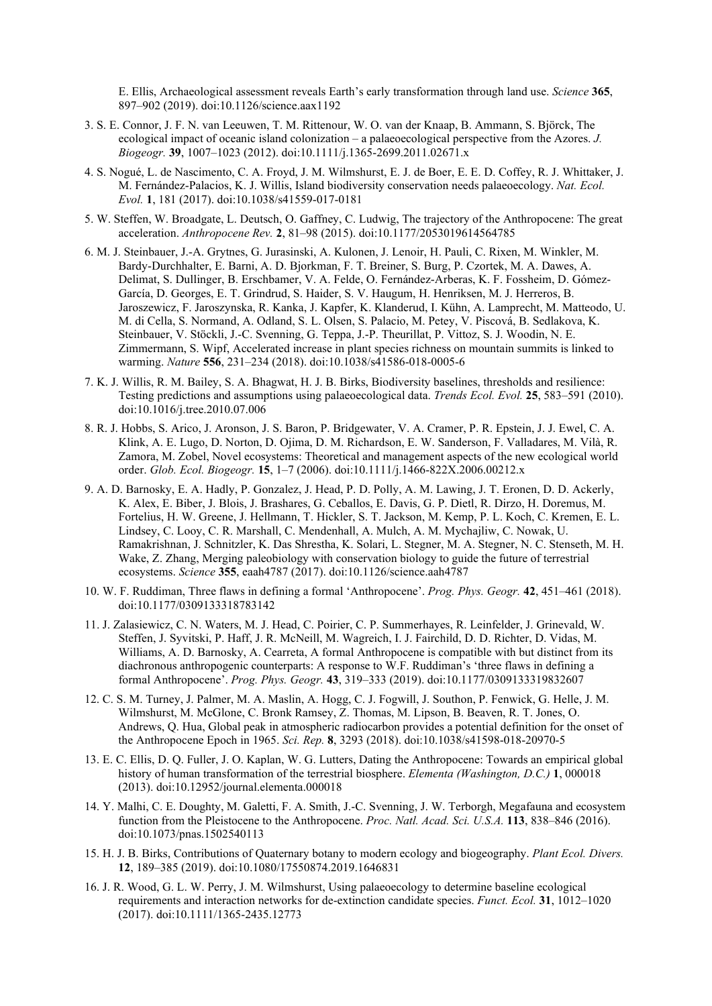E. Ellis, Archaeological assessment reveals Earth's early transformation through land use. *Science* **365**, 897–902 (2019). doi:10.1126/science.aax1192

- 3. S. E. Connor, J. F. N. van Leeuwen, T. M. Rittenour, W. O. van der Knaap, B. Ammann, S. Björck, The ecological impact of oceanic island colonization – a palaeoecological perspective from the Azores. *J. Biogeogr.* **39**, 1007–1023 (2012). doi:10.1111/j.1365-2699.2011.02671.x
- 4. S. Nogué, L. de Nascimento, C. A. Froyd, J. M. Wilmshurst, E. J. de Boer, E. E. D. Coffey, R. J. Whittaker, J. M. Fernández-Palacios, K. J. Willis, Island biodiversity conservation needs palaeoecology. *Nat. Ecol. Evol.* **1**, 181 (2017). doi:10.1038/s41559-017-0181
- 5. W. Steffen, W. Broadgate, L. Deutsch, O. Gaffney, C. Ludwig, The trajectory of the Anthropocene: The great acceleration. *Anthropocene Rev.* **2**, 81–98 (2015). doi:10.1177/2053019614564785
- 6. M. J. Steinbauer, J.-A. Grytnes, G. Jurasinski, A. Kulonen, J. Lenoir, H. Pauli, C. Rixen, M. Winkler, M. Bardy-Durchhalter, E. Barni, A. D. Bjorkman, F. T. Breiner, S. Burg, P. Czortek, M. A. Dawes, A. Delimat, S. Dullinger, B. Erschbamer, V. A. Felde, O. Fernández-Arberas, K. F. Fossheim, D. Gómez-García, D. Georges, E. T. Grindrud, S. Haider, S. V. Haugum, H. Henriksen, M. J. Herreros, B. Jaroszewicz, F. Jaroszynska, R. Kanka, J. Kapfer, K. Klanderud, I. Kühn, A. Lamprecht, M. Matteodo, U. M. di Cella, S. Normand, A. Odland, S. L. Olsen, S. Palacio, M. Petey, V. Piscová, B. Sedlakova, K. Steinbauer, V. Stöckli, J.-C. Svenning, G. Teppa, J.-P. Theurillat, P. Vittoz, S. J. Woodin, N. E. Zimmermann, S. Wipf, Accelerated increase in plant species richness on mountain summits is linked to warming. *Nature* **556**, 231–234 (2018). doi:10.1038/s41586-018-0005-6
- 7. K. J. Willis, R. M. Bailey, S. A. Bhagwat, H. J. B. Birks, Biodiversity baselines, thresholds and resilience: Testing predictions and assumptions using palaeoecological data. *Trends Ecol. Evol.* **25**, 583–591 (2010). doi:10.1016/j.tree.2010.07.006
- 8. R. J. Hobbs, S. Arico, J. Aronson, J. S. Baron, P. Bridgewater, V. A. Cramer, P. R. Epstein, J. J. Ewel, C. A. Klink, A. E. Lugo, D. Norton, D. Ojima, D. M. Richardson, E. W. Sanderson, F. Valladares, M. Vilà, R. Zamora, M. Zobel, Novel ecosystems: Theoretical and management aspects of the new ecological world order. *Glob. Ecol. Biogeogr.* **15**, 1–7 (2006). doi:10.1111/j.1466-822X.2006.00212.x
- 9. A. D. Barnosky, E. A. Hadly, P. Gonzalez, J. Head, P. D. Polly, A. M. Lawing, J. T. Eronen, D. D. Ackerly, K. Alex, E. Biber, J. Blois, J. Brashares, G. Ceballos, E. Davis, G. P. Dietl, R. Dirzo, H. Doremus, M. Fortelius, H. W. Greene, J. Hellmann, T. Hickler, S. T. Jackson, M. Kemp, P. L. Koch, C. Kremen, E. L. Lindsey, C. Looy, C. R. Marshall, C. Mendenhall, A. Mulch, A. M. Mychajliw, C. Nowak, U. Ramakrishnan, J. Schnitzler, K. Das Shrestha, K. Solari, L. Stegner, M. A. Stegner, N. C. Stenseth, M. H. Wake, Z. Zhang, Merging paleobiology with conservation biology to guide the future of terrestrial ecosystems. *Science* **355**, eaah4787 (2017). doi:10.1126/science.aah4787
- 10. W. F. Ruddiman, Three flaws in defining a formal 'Anthropocene'. *Prog. Phys. Geogr.* **42**, 451–461 (2018). doi:10.1177/0309133318783142
- 11. J. Zalasiewicz, C. N. Waters, M. J. Head, C. Poirier, C. P. Summerhayes, R. Leinfelder, J. Grinevald, W. Steffen, J. Syvitski, P. Haff, J. R. McNeill, M. Wagreich, I. J. Fairchild, D. D. Richter, D. Vidas, M. Williams, A. D. Barnosky, A. Cearreta, A formal Anthropocene is compatible with but distinct from its diachronous anthropogenic counterparts: A response to W.F. Ruddiman's 'three flaws in defining a formal Anthropocene'. *Prog. Phys. Geogr.* **43**, 319–333 (2019). doi:10.1177/0309133319832607
- 12. C. S. M. Turney, J. Palmer, M. A. Maslin, A. Hogg, C. J. Fogwill, J. Southon, P. Fenwick, G. Helle, J. M. Wilmshurst, M. McGlone, C. Bronk Ramsey, Z. Thomas, M. Lipson, B. Beaven, R. T. Jones, O. Andrews, Q. Hua, Global peak in atmospheric radiocarbon provides a potential definition for the onset of the Anthropocene Epoch in 1965. *Sci. Rep.* **8**, 3293 (2018). doi:10.1038/s41598-018-20970-5
- 13. E. C. Ellis, D. Q. Fuller, J. O. Kaplan, W. G. Lutters, Dating the Anthropocene: Towards an empirical global history of human transformation of the terrestrial biosphere. *Elementa (Washington, D.C.)* **1**, 000018 (2013). doi:10.12952/journal.elementa.000018
- 14. Y. Malhi, C. E. Doughty, M. Galetti, F. A. Smith, J.-C. Svenning, J. W. Terborgh, Megafauna and ecosystem function from the Pleistocene to the Anthropocene. *Proc. Natl. Acad. Sci. U.S.A.* **113**, 838–846 (2016). doi:10.1073/pnas.1502540113
- 15. H. J. B. Birks, Contributions of Quaternary botany to modern ecology and biogeography. *Plant Ecol. Divers.*  **12**, 189–385 (2019). doi:10.1080/17550874.2019.1646831
- 16. J. R. Wood, G. L. W. Perry, J. M. Wilmshurst, Using palaeoecology to determine baseline ecological requirements and interaction networks for de-extinction candidate species. *Funct. Ecol.* **31**, 1012–1020 (2017). doi:10.1111/1365-2435.12773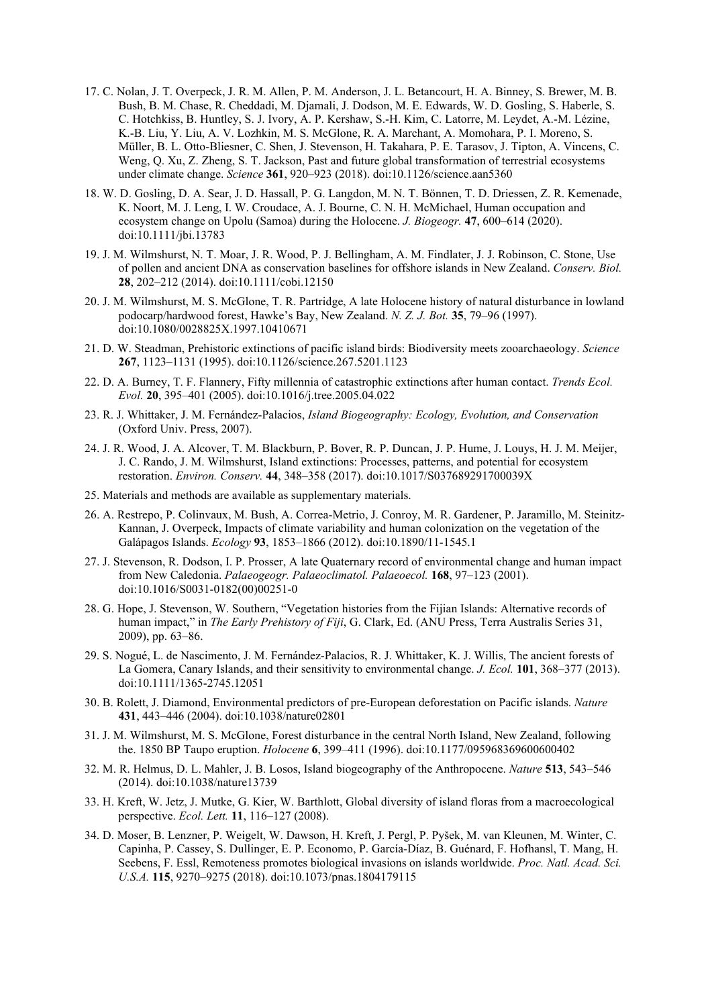- 17. C. Nolan, J. T. Overpeck, J. R. M. Allen, P. M. Anderson, J. L. Betancourt, H. A. Binney, S. Brewer, M. B. Bush, B. M. Chase, R. Cheddadi, M. Djamali, J. Dodson, M. E. Edwards, W. D. Gosling, S. Haberle, S. C. Hotchkiss, B. Huntley, S. J. Ivory, A. P. Kershaw, S.-H. Kim, C. Latorre, M. Leydet, A.-M. Lézine, K.-B. Liu, Y. Liu, A. V. Lozhkin, M. S. McGlone, R. A. Marchant, A. Momohara, P. I. Moreno, S. Müller, B. L. Otto-Bliesner, C. Shen, J. Stevenson, H. Takahara, P. E. Tarasov, J. Tipton, A. Vincens, C. Weng, Q. Xu, Z. Zheng, S. T. Jackson, Past and future global transformation of terrestrial ecosystems under climate change. *Science* **361**, 920–923 (2018). doi:10.1126/science.aan5360
- 18. W. D. Gosling, D. A. Sear, J. D. Hassall, P. G. Langdon, M. N. T. Bönnen, T. D. Driessen, Z. R. Kemenade, K. Noort, M. J. Leng, I. W. Croudace, A. J. Bourne, C. N. H. McMichael, Human occupation and ecosystem change on Upolu (Samoa) during the Holocene. *J. Biogeogr.* **47**, 600–614 (2020). doi:10.1111/jbi.13783
- 19. J. M. Wilmshurst, N. T. Moar, J. R. Wood, P. J. Bellingham, A. M. Findlater, J. J. Robinson, C. Stone, Use of pollen and ancient DNA as conservation baselines for offshore islands in New Zealand. *Conserv. Biol.*  **28**, 202–212 (2014). doi:10.1111/cobi.12150
- 20. J. M. Wilmshurst, M. S. McGlone, T. R. Partridge, A late Holocene history of natural disturbance in lowland podocarp/hardwood forest, Hawke's Bay, New Zealand. *N. Z. J. Bot.* **35**, 79–96 (1997). doi:10.1080/0028825X.1997.10410671
- 21. D. W. Steadman, Prehistoric extinctions of pacific island birds: Biodiversity meets zooarchaeology. *Science*  **267**, 1123–1131 (1995). doi:10.1126/science.267.5201.1123
- 22. D. A. Burney, T. F. Flannery, Fifty millennia of catastrophic extinctions after human contact. *Trends Ecol. Evol.* **20**, 395–401 (2005). doi:10.1016/j.tree.2005.04.022
- 23. R. J. Whittaker, J. M. Fernández-Palacios, *Island Biogeography: Ecology, Evolution, and Conservation*  (Oxford Univ. Press, 2007).
- 24. J. R. Wood, J. A. Alcover, T. M. Blackburn, P. Bover, R. P. Duncan, J. P. Hume, J. Louys, H. J. M. Meijer, J. C. Rando, J. M. Wilmshurst, Island extinctions: Processes, patterns, and potential for ecosystem restoration. *Environ. Conserv.* **44**, 348–358 (2017). doi:10.1017/S037689291700039X
- 25. Materials and methods are available as supplementary materials.
- 26. A. Restrepo, P. Colinvaux, M. Bush, A. Correa-Metrio, J. Conroy, M. R. Gardener, P. Jaramillo, M. Steinitz-Kannan, J. Overpeck, Impacts of climate variability and human colonization on the vegetation of the Galápagos Islands. *Ecology* **93**, 1853–1866 (2012). doi:10.1890/11-1545.1
- 27. J. Stevenson, R. Dodson, I. P. Prosser, A late Quaternary record of environmental change and human impact from New Caledonia. *Palaeogeogr. Palaeoclimatol. Palaeoecol.* **168**, 97–123 (2001). doi:10.1016/S0031-0182(00)00251-0
- 28. G. Hope, J. Stevenson, W. Southern, "Vegetation histories from the Fijian Islands: Alternative records of human impact," in *The Early Prehistory of Fiji*, G. Clark, Ed. (ANU Press, Terra Australis Series 31, 2009), pp. 63–86.
- 29. S. Nogué, L. de Nascimento, J. M. Fernández-Palacios, R. J. Whittaker, K. J. Willis, The ancient forests of La Gomera, Canary Islands, and their sensitivity to environmental change. *J. Ecol.* **101**, 368–377 (2013). doi:10.1111/1365-2745.12051
- 30. B. Rolett, J. Diamond, Environmental predictors of pre-European deforestation on Pacific islands. *Nature*  **431**, 443–446 (2004). doi:10.1038/nature02801
- 31. J. M. Wilmshurst, M. S. McGlone, Forest disturbance in the central North Island, New Zealand, following the. 1850 BP Taupo eruption. *Holocene* **6**, 399–411 (1996). doi:10.1177/095968369600600402
- 32. M. R. Helmus, D. L. Mahler, J. B. Losos, Island biogeography of the Anthropocene. *Nature* **513**, 543–546 (2014). doi:10.1038/nature13739
- 33. H. Kreft, W. Jetz, J. Mutke, G. Kier, W. Barthlott, Global diversity of island floras from a macroecological perspective. *Ecol. Lett.* **11**, 116–127 (2008).
- 34. D. Moser, B. Lenzner, P. Weigelt, W. Dawson, H. Kreft, J. Pergl, P. Pyšek, M. van Kleunen, M. Winter, C. Capinha, P. Cassey, S. Dullinger, E. P. Economo, P. García-Díaz, B. Guénard, F. Hofhansl, T. Mang, H. Seebens, F. Essl, Remoteness promotes biological invasions on islands worldwide. *Proc. Natl. Acad. Sci. U.S.A.* **115**, 9270–9275 (2018). doi:10.1073/pnas.1804179115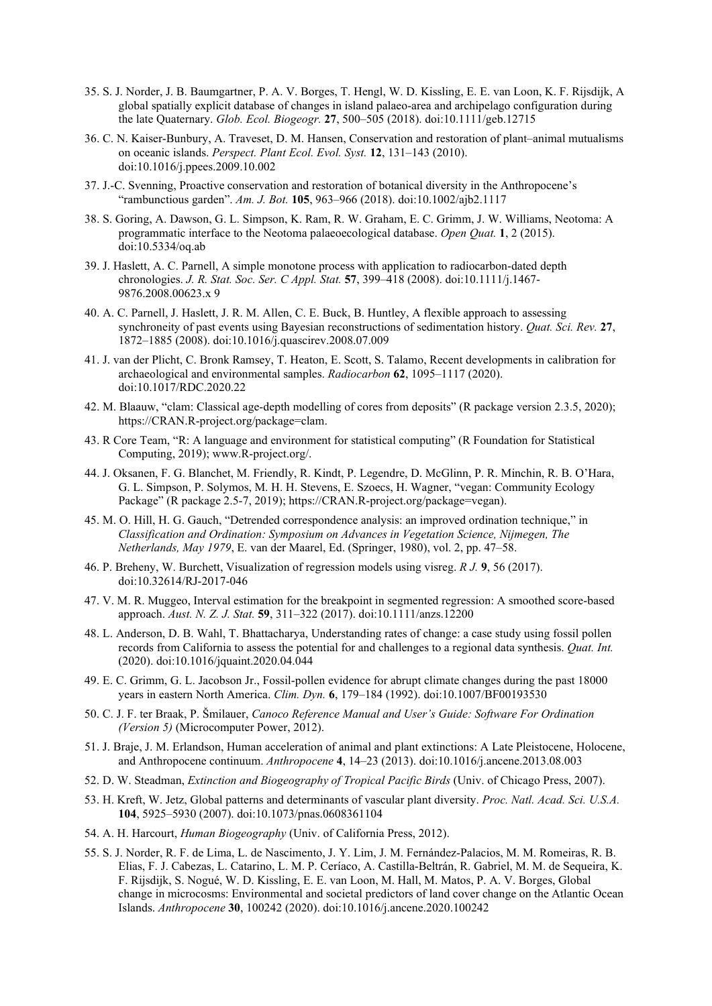- 35. S. J. Norder, J. B. Baumgartner, P. A. V. Borges, T. Hengl, W. D. Kissling, E. E. van Loon, K. F. Rijsdijk, A global spatially explicit database of changes in island palaeo‐area and archipelago configuration during the late Quaternary. *Glob. Ecol. Biogeogr.* **27**, 500–505 (2018). doi:10.1111/geb.12715
- 36. C. N. Kaiser-Bunbury, A. Traveset, D. M. Hansen, Conservation and restoration of plant–animal mutualisms on oceanic islands. *Perspect. Plant Ecol. Evol. Syst.* **12**, 131–143 (2010). doi:10.1016/j.ppees.2009.10.002
- 37. J.-C. Svenning, Proactive conservation and restoration of botanical diversity in the Anthropocene's "rambunctious garden". *Am. J. Bot.* **105**, 963–966 (2018). doi:10.1002/ajb2.1117
- 38. S. Goring, A. Dawson, G. L. Simpson, K. Ram, R. W. Graham, E. C. Grimm, J. W. Williams, Neotoma: A programmatic interface to the Neotoma palaeoecological database. *Open Quat.* **1**, 2 (2015). doi:10.5334/oq.ab
- 39. J. Haslett, A. C. Parnell, A simple monotone process with application to radiocarbon-dated depth chronologies. *J. R. Stat. Soc. Ser. C Appl. Stat.* **57**, 399–418 (2008). doi:10.1111/j.1467- 9876.2008.00623.x 9
- 40. A. C. Parnell, J. Haslett, J. R. M. Allen, C. E. Buck, B. Huntley, A flexible approach to assessing synchroneity of past events using Bayesian reconstructions of sedimentation history. *Quat. Sci. Rev.* **27**, 1872–1885 (2008). doi:10.1016/j.quascirev.2008.07.009
- 41. J. van der Plicht, C. Bronk Ramsey, T. Heaton, E. Scott, S. Talamo, Recent developments in calibration for archaeological and environmental samples. *Radiocarbon* **62**, 1095–1117 (2020). doi:10.1017/RDC.2020.22
- 42. M. Blaauw, "clam: Classical age-depth modelling of cores from deposits" (R package version 2.3.5, 2020); https://CRAN.R-project.org/package=clam.
- 43. R Core Team, "R: A language and environment for statistical computing" (R Foundation for Statistical Computing, 2019); www.R-project.org/.
- 44. J. Oksanen, F. G. Blanchet, M. Friendly, R. Kindt, P. Legendre, D. McGlinn, P. R. Minchin, R. B. O'Hara, G. L. Simpson, P. Solymos, M. H. H. Stevens, E. Szoecs, H. Wagner, "vegan: Community Ecology Package" (R package 2.5-7, 2019); https://CRAN.R-project.org/package=vegan).
- 45. M. O. Hill, H. G. Gauch, "Detrended correspondence analysis: an improved ordination technique," in *Classification and Ordination: Symposium on Advances in Vegetation Science, Nijmegen, The Netherlands, May 1979*, E. van der Maarel, Ed. (Springer, 1980), vol. 2, pp. 47–58.
- 46. P. Breheny, W. Burchett, Visualization of regression models using visreg. *R J.* **9**, 56 (2017). doi:10.32614/RJ-2017-046
- 47. V. M. R. Muggeo, Interval estimation for the breakpoint in segmented regression: A smoothed score‐based approach. *Aust. N. Z. J. Stat.* **59**, 311–322 (2017). doi:10.1111/anzs.12200
- 48. L. Anderson, D. B. Wahl, T. Bhattacharya, Understanding rates of change: a case study using fossil pollen records from California to assess the potential for and challenges to a regional data synthesis. *Quat. Int.*  (2020). doi:10.1016/jquaint.2020.04.044
- 49. E. C. Grimm, G. L. Jacobson Jr., Fossil-pollen evidence for abrupt climate changes during the past 18000 years in eastern North America. *Clim. Dyn.* **6**, 179–184 (1992). doi:10.1007/BF00193530
- 50. C. J. F. ter Braak, P. Šmilauer, *Canoco Reference Manual and User's Guide: Software For Ordination (Version 5)* (Microcomputer Power, 2012).
- 51. J. Braje, J. M. Erlandson, Human acceleration of animal and plant extinctions: A Late Pleistocene, Holocene, and Anthropocene continuum. *Anthropocene* **4**, 14–23 (2013). doi:10.1016/j.ancene.2013.08.003
- 52. D. W. Steadman, *Extinction and Biogeography of Tropical Pacific Birds* (Univ. of Chicago Press, 2007).
- 53. H. Kreft, W. Jetz, Global patterns and determinants of vascular plant diversity. *Proc. Natl. Acad. Sci. U.S.A.*  **104**, 5925–5930 (2007). doi:10.1073/pnas.0608361104
- 54. A. H. Harcourt, *Human Biogeography* (Univ. of California Press, 2012).
- 55. S. J. Norder, R. F. de Lima, L. de Nascimento, J. Y. Lim, J. M. Fernández-Palacios, M. M. Romeiras, R. B. Elias, F. J. Cabezas, L. Catarino, L. M. P. Ceríaco, A. Castilla-Beltrán, R. Gabriel, M. M. de Sequeira, K. F. Rijsdijk, S. Nogué, W. D. Kissling, E. E. van Loon, M. Hall, M. Matos, P. A. V. Borges, Global change in microcosms: Environmental and societal predictors of land cover change on the Atlantic Ocean Islands. *Anthropocene* **30**, 100242 (2020). doi:10.1016/j.ancene.2020.100242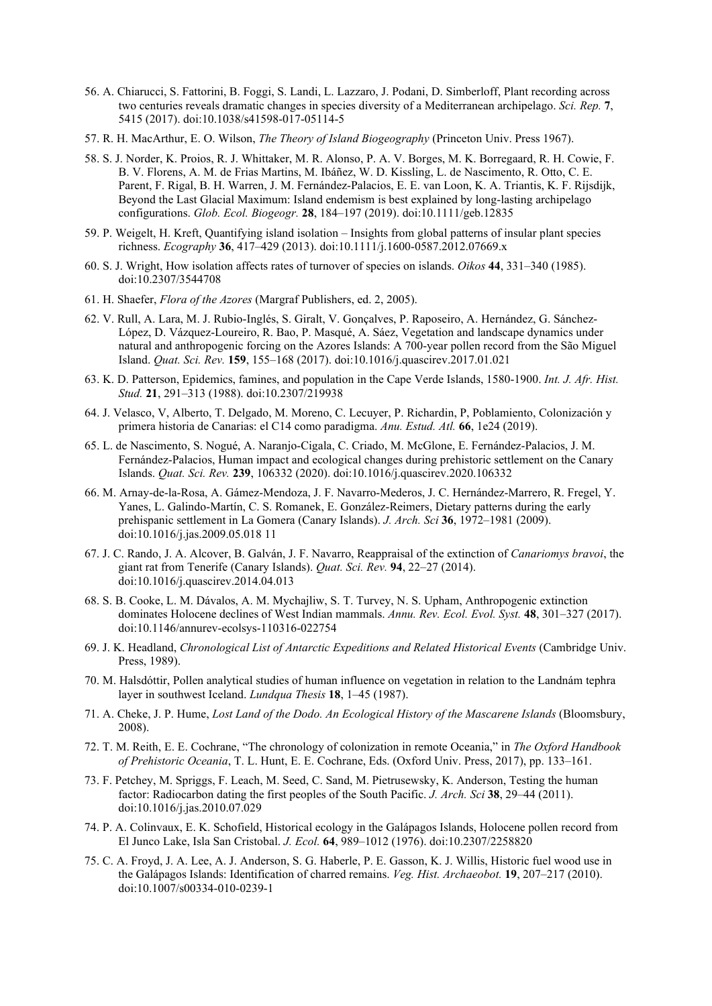- 56. A. Chiarucci, S. Fattorini, B. Foggi, S. Landi, L. Lazzaro, J. Podani, D. Simberloff, Plant recording across two centuries reveals dramatic changes in species diversity of a Mediterranean archipelago. *Sci. Rep.* **7**, 5415 (2017). doi:10.1038/s41598-017-05114-5
- 57. R. H. MacArthur, E. O. Wilson, *The Theory of Island Biogeography* (Princeton Univ. Press 1967).
- 58. S. J. Norder, K. Proios, R. J. Whittaker, M. R. Alonso, P. A. V. Borges, M. K. Borregaard, R. H. Cowie, F. B. V. Florens, A. M. de Frias Martins, M. Ibáñez, W. D. Kissling, L. de Nascimento, R. Otto, C. E. Parent, F. Rigal, B. H. Warren, J. M. Fernández-Palacios, E. E. van Loon, K. A. Triantis, K. F. Rijsdijk, Beyond the Last Glacial Maximum: Island endemism is best explained by long‐lasting archipelago configurations. *Glob. Ecol. Biogeogr.* **28**, 184–197 (2019). doi:10.1111/geb.12835
- 59. P. Weigelt, H. Kreft, Quantifying island isolation Insights from global patterns of insular plant species richness. *Ecography* **36**, 417–429 (2013). doi:10.1111/j.1600-0587.2012.07669.x
- 60. S. J. Wright, How isolation affects rates of turnover of species on islands. *Oikos* **44**, 331–340 (1985). doi:10.2307/3544708
- 61. H. Shaefer, *Flora of the Azores* (Margraf Publishers, ed. 2, 2005).
- 62. V. Rull, A. Lara, M. J. Rubio-Inglés, S. Giralt, V. Gonçalves, P. Raposeiro, A. Hernández, G. Sánchez-López, D. Vázquez-Loureiro, R. Bao, P. Masqué, A. Sáez, Vegetation and landscape dynamics under natural and anthropogenic forcing on the Azores Islands: A 700-year pollen record from the São Miguel Island. *Quat. Sci. Rev.* **159**, 155–168 (2017). doi:10.1016/j.quascirev.2017.01.021
- 63. K. D. Patterson, Epidemics, famines, and population in the Cape Verde Islands, 1580-1900. *Int. J. Afr. Hist. Stud.* **21**, 291–313 (1988). doi:10.2307/219938
- 64. J. Velasco, V, Alberto, T. Delgado, M. Moreno, C. Lecuyer, P. Richardin, P, Poblamiento, Colonización y primera historia de Canarias: el C14 como paradigma. *Anu. Estud. Atl.* **66**, 1e24 (2019).
- 65. L. de Nascimento, S. Nogué, A. Naranjo-Cigala, C. Criado, M. McGlone, E. Fernández-Palacios, J. M. Fernández-Palacios, Human impact and ecological changes during prehistoric settlement on the Canary Islands. *Quat. Sci. Rev.* **239**, 106332 (2020). doi:10.1016/j.quascirev.2020.106332
- 66. M. Arnay-de-la-Rosa, A. Gámez-Mendoza, J. F. Navarro-Mederos, J. C. Hernández-Marrero, R. Fregel, Y. Yanes, L. Galindo-Martín, C. S. Romanek, E. González-Reimers, Dietary patterns during the early prehispanic settlement in La Gomera (Canary Islands). *J. Arch. Sci* **36**, 1972–1981 (2009). doi:10.1016/j.jas.2009.05.018 11
- 67. J. C. Rando, J. A. Alcover, B. Galván, J. F. Navarro, Reappraisal of the extinction of *Canariomys bravoi*, the giant rat from Tenerife (Canary Islands). *Quat. Sci. Rev.* **94**, 22–27 (2014). doi:10.1016/j.quascirev.2014.04.013
- 68. S. B. Cooke, L. M. Dávalos, A. M. Mychajliw, S. T. Turvey, N. S. Upham, Anthropogenic extinction dominates Holocene declines of West Indian mammals. *Annu. Rev. Ecol. Evol. Syst.* **48**, 301–327 (2017). doi:10.1146/annurev-ecolsys-110316-022754
- 69. J. K. Headland, *Chronological List of Antarctic Expeditions and Related Historical Events* (Cambridge Univ. Press, 1989).
- 70. M. Halsdóttir, Pollen analytical studies of human influence on vegetation in relation to the Landnám tephra layer in southwest Iceland. *Lundqua Thesis* **18**, 1–45 (1987).
- 71. A. Cheke, J. P. Hume, *Lost Land of the Dodo. An Ecological History of the Mascarene Islands* (Bloomsbury, 2008).
- 72. T. M. Reith, E. E. Cochrane, "The chronology of colonization in remote Oceania," in *The Oxford Handbook of Prehistoric Oceania*, T. L. Hunt, E. E. Cochrane, Eds. (Oxford Univ. Press, 2017), pp. 133–161.
- 73. F. Petchey, M. Spriggs, F. Leach, M. Seed, C. Sand, M. Pietrusewsky, K. Anderson, Testing the human factor: Radiocarbon dating the first peoples of the South Pacific. *J. Arch. Sci* **38**, 29–44 (2011). doi:10.1016/j.jas.2010.07.029
- 74. P. A. Colinvaux, E. K. Schofield, Historical ecology in the Galápagos Islands, Holocene pollen record from El Junco Lake, Isla San Cristobal. *J. Ecol.* **64**, 989–1012 (1976). doi:10.2307/2258820
- 75. C. A. Froyd, J. A. Lee, A. J. Anderson, S. G. Haberle, P. E. Gasson, K. J. Willis, Historic fuel wood use in the Galápagos Islands: Identification of charred remains. *Veg. Hist. Archaeobot.* **19**, 207–217 (2010). doi:10.1007/s00334-010-0239-1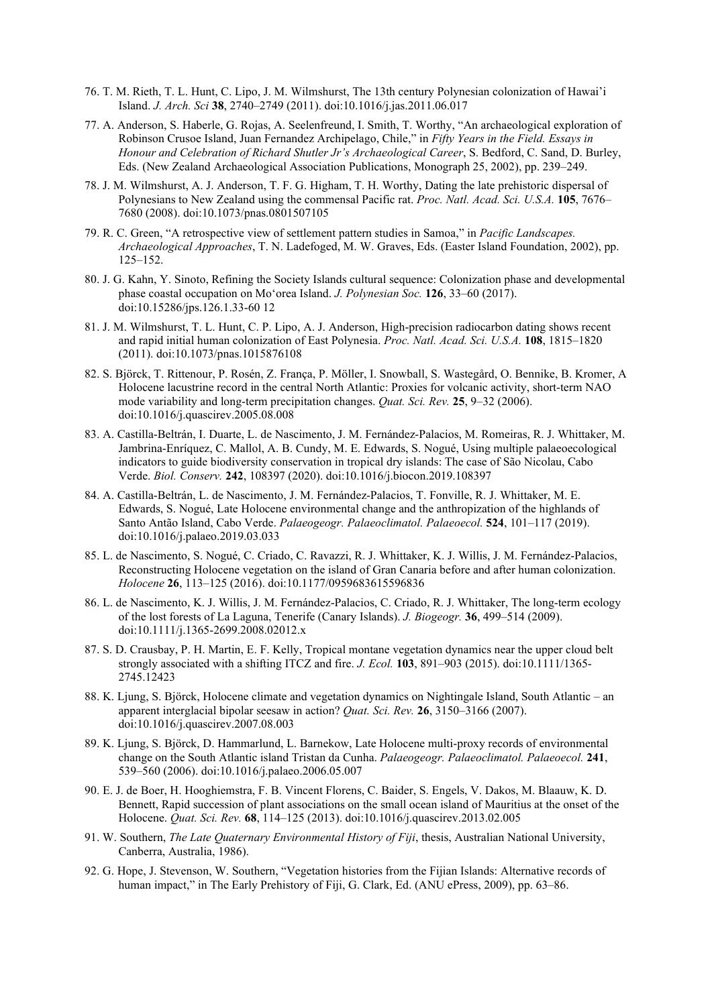- 76. T. M. Rieth, T. L. Hunt, C. Lipo, J. M. Wilmshurst, The 13th century Polynesian colonization of Hawai'i Island. *J. Arch. Sci* **38**, 2740–2749 (2011). doi:10.1016/j.jas.2011.06.017
- 77. A. Anderson, S. Haberle, G. Rojas, A. Seelenfreund, I. Smith, T. Worthy, "An archaeological exploration of Robinson Crusoe Island, Juan Fernandez Archipelago, Chile," in *Fifty Years in the Field. Essays in Honour and Celebration of Richard Shutler Jr's Archaeological Career*, S. Bedford, C. Sand, D. Burley, Eds. (New Zealand Archaeological Association Publications, Monograph 25, 2002), pp. 239–249.
- 78. J. M. Wilmshurst, A. J. Anderson, T. F. G. Higham, T. H. Worthy, Dating the late prehistoric dispersal of Polynesians to New Zealand using the commensal Pacific rat. *Proc. Natl. Acad. Sci. U.S.A.* **105**, 7676– 7680 (2008). doi:10.1073/pnas.0801507105
- 79. R. C. Green, "A retrospective view of settlement pattern studies in Samoa," in *Pacific Landscapes. Archaeological Approaches*, T. N. Ladefoged, M. W. Graves, Eds. (Easter Island Foundation, 2002), pp. 125–152.
- 80. J. G. Kahn, Y. Sinoto, Refining the Society Islands cultural sequence: Colonization phase and developmental phase coastal occupation on Mo'orea Island. *J. Polynesian Soc.* **126**, 33–60 (2017). doi:10.15286/jps.126.1.33-60 12
- 81. J. M. Wilmshurst, T. L. Hunt, C. P. Lipo, A. J. Anderson, High-precision radiocarbon dating shows recent and rapid initial human colonization of East Polynesia. *Proc. Natl. Acad. Sci. U.S.A.* **108**, 1815–1820 (2011). doi:10.1073/pnas.1015876108
- 82. S. Björck, T. Rittenour, P. Rosén, Z. França, P. Möller, I. Snowball, S. Wastegård, O. Bennike, B. Kromer, A Holocene lacustrine record in the central North Atlantic: Proxies for volcanic activity, short-term NAO mode variability and long-term precipitation changes. *Quat. Sci. Rev.* **25**, 9–32 (2006). doi:10.1016/j.quascirev.2005.08.008
- 83. A. Castilla-Beltrán, I. Duarte, L. de Nascimento, J. M. Fernández-Palacios, M. Romeiras, R. J. Whittaker, M. Jambrina-Enríquez, C. Mallol, A. B. Cundy, M. E. Edwards, S. Nogué, Using multiple palaeoecological indicators to guide biodiversity conservation in tropical dry islands: The case of São Nicolau, Cabo Verde. *Biol. Conserv.* **242**, 108397 (2020). doi:10.1016/j.biocon.2019.108397
- 84. A. Castilla-Beltrán, L. de Nascimento, J. M. Fernández-Palacios, T. Fonville, R. J. Whittaker, M. E. Edwards, S. Nogué, Late Holocene environmental change and the anthropization of the highlands of Santo Antão Island, Cabo Verde. *Palaeogeogr. Palaeoclimatol. Palaeoecol.* **524**, 101–117 (2019). doi:10.1016/j.palaeo.2019.03.033
- 85. L. de Nascimento, S. Nogué, C. Criado, C. Ravazzi, R. J. Whittaker, K. J. Willis, J. M. Fernández-Palacios, Reconstructing Holocene vegetation on the island of Gran Canaria before and after human colonization. *Holocene* **26**, 113–125 (2016). doi:10.1177/0959683615596836
- 86. L. de Nascimento, K. J. Willis, J. M. Fernández-Palacios, C. Criado, R. J. Whittaker, The long-term ecology of the lost forests of La Laguna, Tenerife (Canary Islands). *J. Biogeogr.* **36**, 499–514 (2009). doi:10.1111/j.1365-2699.2008.02012.x
- 87. S. D. Crausbay, P. H. Martin, E. F. Kelly, Tropical montane vegetation dynamics near the upper cloud belt strongly associated with a shifting ITCZ and fire. *J. Ecol.* **103**, 891–903 (2015). doi:10.1111/1365- 2745.12423
- 88. K. Ljung, S. Björck, Holocene climate and vegetation dynamics on Nightingale Island, South Atlantic an apparent interglacial bipolar seesaw in action? *Quat. Sci. Rev.* **26**, 3150–3166 (2007). doi:10.1016/j.quascirev.2007.08.003
- 89. K. Ljung, S. Björck, D. Hammarlund, L. Barnekow, Late Holocene multi-proxy records of environmental change on the South Atlantic island Tristan da Cunha. *Palaeogeogr. Palaeoclimatol. Palaeoecol.* **241**, 539–560 (2006). doi:10.1016/j.palaeo.2006.05.007
- 90. E. J. de Boer, H. Hooghiemstra, F. B. Vincent Florens, C. Baider, S. Engels, V. Dakos, M. Blaauw, K. D. Bennett, Rapid succession of plant associations on the small ocean island of Mauritius at the onset of the Holocene. *Quat. Sci. Rev.* **68**, 114–125 (2013). doi:10.1016/j.quascirev.2013.02.005
- 91. W. Southern, *The Late Quaternary Environmental History of Fiji*, thesis, Australian National University, Canberra, Australia, 1986).
- 92. G. Hope, J. Stevenson, W. Southern, "Vegetation histories from the Fijian Islands: Alternative records of human impact," in The Early Prehistory of Fiji, G. Clark, Ed. (ANU ePress, 2009), pp. 63–86.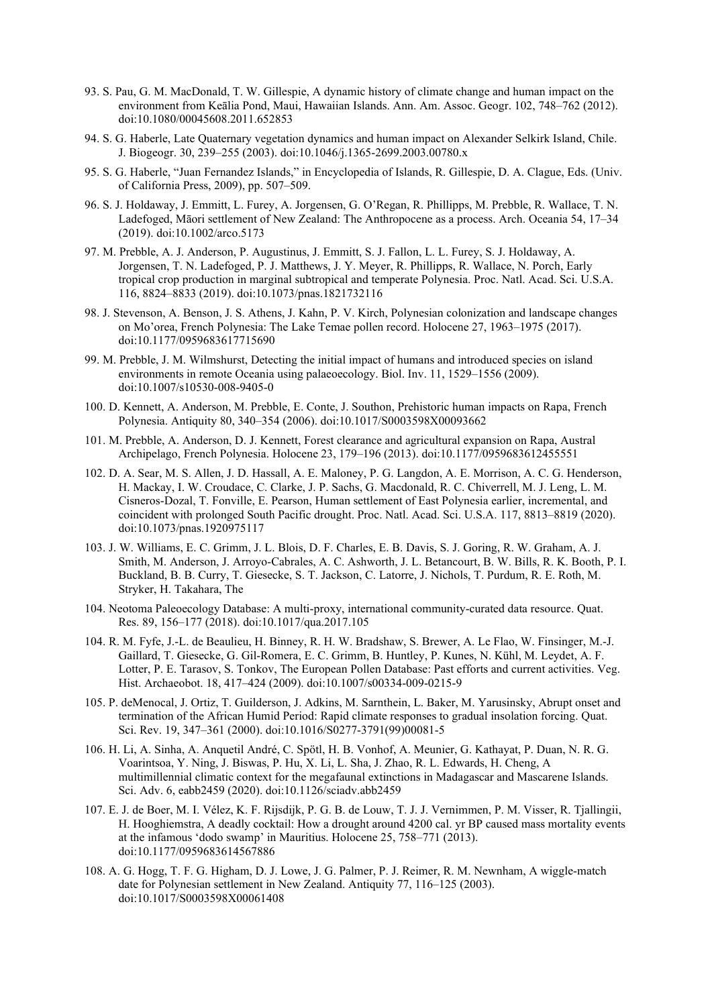- 93. S. Pau, G. M. MacDonald, T. W. Gillespie, A dynamic history of climate change and human impact on the environment from Keālia Pond, Maui, Hawaiian Islands. Ann. Am. Assoc. Geogr. 102, 748–762 (2012). doi:10.1080/00045608.2011.652853
- 94. S. G. Haberle, Late Quaternary vegetation dynamics and human impact on Alexander Selkirk Island, Chile. J. Biogeogr. 30, 239–255 (2003). doi:10.1046/j.1365-2699.2003.00780.x
- 95. S. G. Haberle, "Juan Fernandez Islands," in Encyclopedia of Islands, R. Gillespie, D. A. Clague, Eds. (Univ. of California Press, 2009), pp. 507–509.
- 96. S. J. Holdaway, J. Emmitt, L. Furey, A. Jorgensen, G. O'Regan, R. Phillipps, M. Prebble, R. Wallace, T. N. Ladefoged, Māori settlement of New Zealand: The Anthropocene as a process. Arch. Oceania 54, 17–34 (2019). doi:10.1002/arco.5173
- 97. M. Prebble, A. J. Anderson, P. Augustinus, J. Emmitt, S. J. Fallon, L. L. Furey, S. J. Holdaway, A. Jorgensen, T. N. Ladefoged, P. J. Matthews, J. Y. Meyer, R. Phillipps, R. Wallace, N. Porch, Early tropical crop production in marginal subtropical and temperate Polynesia. Proc. Natl. Acad. Sci. U.S.A. 116, 8824–8833 (2019). doi:10.1073/pnas.1821732116
- 98. J. Stevenson, A. Benson, J. S. Athens, J. Kahn, P. V. Kirch, Polynesian colonization and landscape changes on Mo'orea, French Polynesia: The Lake Temae pollen record. Holocene 27, 1963–1975 (2017). doi:10.1177/0959683617715690
- 99. M. Prebble, J. M. Wilmshurst, Detecting the initial impact of humans and introduced species on island environments in remote Oceania using palaeoecology. Biol. Inv. 11, 1529–1556 (2009). doi:10.1007/s10530-008-9405-0
- 100. D. Kennett, A. Anderson, M. Prebble, E. Conte, J. Southon, Prehistoric human impacts on Rapa, French Polynesia. Antiquity 80, 340–354 (2006). doi:10.1017/S0003598X00093662
- 101. M. Prebble, A. Anderson, D. J. Kennett, Forest clearance and agricultural expansion on Rapa, Austral Archipelago, French Polynesia. Holocene 23, 179–196 (2013). doi:10.1177/0959683612455551
- 102. D. A. Sear, M. S. Allen, J. D. Hassall, A. E. Maloney, P. G. Langdon, A. E. Morrison, A. C. G. Henderson, H. Mackay, I. W. Croudace, C. Clarke, J. P. Sachs, G. Macdonald, R. C. Chiverrell, M. J. Leng, L. M. Cisneros-Dozal, T. Fonville, E. Pearson, Human settlement of East Polynesia earlier, incremental, and coincident with prolonged South Pacific drought. Proc. Natl. Acad. Sci. U.S.A. 117, 8813–8819 (2020). doi:10.1073/pnas.1920975117
- 103. J. W. Williams, E. C. Grimm, J. L. Blois, D. F. Charles, E. B. Davis, S. J. Goring, R. W. Graham, A. J. Smith, M. Anderson, J. Arroyo-Cabrales, A. C. Ashworth, J. L. Betancourt, B. W. Bills, R. K. Booth, P. I. Buckland, B. B. Curry, T. Giesecke, S. T. Jackson, C. Latorre, J. Nichols, T. Purdum, R. E. Roth, M. Stryker, H. Takahara, The
- 104. Neotoma Paleoecology Database: A multi-proxy, international community-curated data resource. Quat. Res. 89, 156–177 (2018). doi:10.1017/qua.2017.105
- 104. R. M. Fyfe, J.-L. de Beaulieu, H. Binney, R. H. W. Bradshaw, S. Brewer, A. Le Flao, W. Finsinger, M.-J. Gaillard, T. Giesecke, G. Gil-Romera, E. C. Grimm, B. Huntley, P. Kunes, N. Kühl, M. Leydet, A. F. Lotter, P. E. Tarasov, S. Tonkov, The European Pollen Database: Past efforts and current activities. Veg. Hist. Archaeobot. 18, 417–424 (2009). doi:10.1007/s00334-009-0215-9
- 105. P. deMenocal, J. Ortiz, T. Guilderson, J. Adkins, M. Sarnthein, L. Baker, M. Yarusinsky, Abrupt onset and termination of the African Humid Period: Rapid climate responses to gradual insolation forcing. Quat. Sci. Rev. 19, 347–361 (2000). doi:10.1016/S0277-3791(99)00081-5
- 106. H. Li, A. Sinha, A. Anquetil André, C. Spötl, H. B. Vonhof, A. Meunier, G. Kathayat, P. Duan, N. R. G. Voarintsoa, Y. Ning, J. Biswas, P. Hu, X. Li, L. Sha, J. Zhao, R. L. Edwards, H. Cheng, A multimillennial climatic context for the megafaunal extinctions in Madagascar and Mascarene Islands. Sci. Adv. 6, eabb2459 (2020). doi:10.1126/sciadv.abb2459
- 107. E. J. de Boer, M. I. Vélez, K. F. Rijsdijk, P. G. B. de Louw, T. J. J. Vernimmen, P. M. Visser, R. Tjallingii, H. Hooghiemstra, A deadly cocktail: How a drought around 4200 cal. yr BP caused mass mortality events at the infamous 'dodo swamp' in Mauritius. Holocene 25, 758–771 (2013). doi:10.1177/0959683614567886
- 108. A. G. Hogg, T. F. G. Higham, D. J. Lowe, J. G. Palmer, P. J. Reimer, R. M. Newnham, A wiggle-match date for Polynesian settlement in New Zealand. Antiquity 77, 116–125 (2003). doi:10.1017/S0003598X00061408